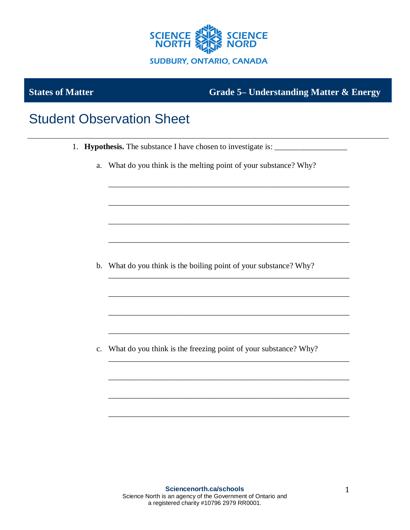

**States of Matter Grade 5– Understanding Matter & Energy**

## Student Observation Sheet

- 1. **Hypothesis.** The substance I have chosen to investigate is: \_\_\_\_\_\_\_\_\_\_\_\_\_\_\_\_\_
	- a. What do you think is the melting point of your substance? Why?

\_\_\_\_\_\_\_\_\_\_\_\_\_\_\_\_\_\_\_\_\_\_\_\_\_\_\_\_\_\_\_\_\_\_\_\_\_\_\_\_\_\_\_\_\_\_\_\_\_\_\_\_\_\_\_\_\_\_\_\_

\_\_\_\_\_\_\_\_\_\_\_\_\_\_\_\_\_\_\_\_\_\_\_\_\_\_\_\_\_\_\_\_\_\_\_\_\_\_\_\_\_\_\_\_\_\_\_\_\_\_\_\_\_\_\_\_\_\_\_\_

\_\_\_\_\_\_\_\_\_\_\_\_\_\_\_\_\_\_\_\_\_\_\_\_\_\_\_\_\_\_\_\_\_\_\_\_\_\_\_\_\_\_\_\_\_\_\_\_\_\_\_\_\_\_\_\_\_\_\_\_

\_\_\_\_\_\_\_\_\_\_\_\_\_\_\_\_\_\_\_\_\_\_\_\_\_\_\_\_\_\_\_\_\_\_\_\_\_\_\_\_\_\_\_\_\_\_\_\_\_\_\_\_\_\_\_\_\_\_\_\_

\_\_\_\_\_\_\_\_\_\_\_\_\_\_\_\_\_\_\_\_\_\_\_\_\_\_\_\_\_\_\_\_\_\_\_\_\_\_\_\_\_\_\_\_\_\_\_\_\_\_\_\_\_\_\_\_\_\_\_\_

\_\_\_\_\_\_\_\_\_\_\_\_\_\_\_\_\_\_\_\_\_\_\_\_\_\_\_\_\_\_\_\_\_\_\_\_\_\_\_\_\_\_\_\_\_\_\_\_\_\_\_\_\_\_\_\_\_\_\_\_

\_\_\_\_\_\_\_\_\_\_\_\_\_\_\_\_\_\_\_\_\_\_\_\_\_\_\_\_\_\_\_\_\_\_\_\_\_\_\_\_\_\_\_\_\_\_\_\_\_\_\_\_\_\_\_\_\_\_\_\_

\_\_\_\_\_\_\_\_\_\_\_\_\_\_\_\_\_\_\_\_\_\_\_\_\_\_\_\_\_\_\_\_\_\_\_\_\_\_\_\_\_\_\_\_\_\_\_\_\_\_\_\_\_\_\_\_\_\_\_\_

\_\_\_\_\_\_\_\_\_\_\_\_\_\_\_\_\_\_\_\_\_\_\_\_\_\_\_\_\_\_\_\_\_\_\_\_\_\_\_\_\_\_\_\_\_\_\_\_\_\_\_\_\_\_\_\_\_\_\_\_

\_\_\_\_\_\_\_\_\_\_\_\_\_\_\_\_\_\_\_\_\_\_\_\_\_\_\_\_\_\_\_\_\_\_\_\_\_\_\_\_\_\_\_\_\_\_\_\_\_\_\_\_\_\_\_\_\_\_\_\_

\_\_\_\_\_\_\_\_\_\_\_\_\_\_\_\_\_\_\_\_\_\_\_\_\_\_\_\_\_\_\_\_\_\_\_\_\_\_\_\_\_\_\_\_\_\_\_\_\_\_\_\_\_\_\_\_\_\_\_\_

\_\_\_\_\_\_\_\_\_\_\_\_\_\_\_\_\_\_\_\_\_\_\_\_\_\_\_\_\_\_\_\_\_\_\_\_\_\_\_\_\_\_\_\_\_\_\_\_\_\_\_\_\_\_\_\_\_\_\_\_

b. What do you think is the boiling point of your substance? Why?

c. What do you think is the freezing point of your substance? Why?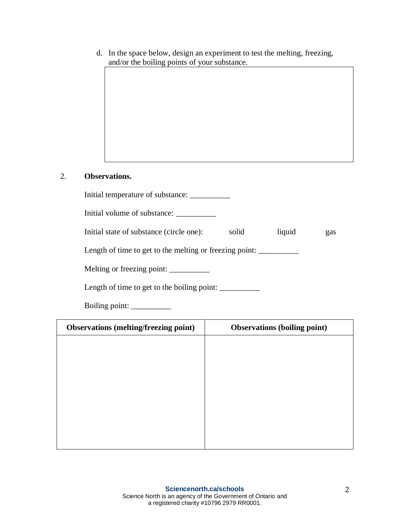d. In the space below, design an experiment to test the melting, freezing, and/or the boiling points of your substance.

## 2. **Observations.**

| Initial volume of substance:                            |       |        |     |
|---------------------------------------------------------|-------|--------|-----|
| Initial state of substance (circle one):                | solid | liquid | gas |
| Length of time to get to the melting or freezing point: |       |        |     |
| Melting or freezing point:                              |       |        |     |
| Length of time to get to the boiling point:             |       |        |     |
| Boiling point:                                          |       |        |     |

| <b>Observations (melting/freezing point)</b> | <b>Observations (boiling point)</b> |
|----------------------------------------------|-------------------------------------|
|                                              |                                     |
|                                              |                                     |
|                                              |                                     |
|                                              |                                     |
|                                              |                                     |
|                                              |                                     |
|                                              |                                     |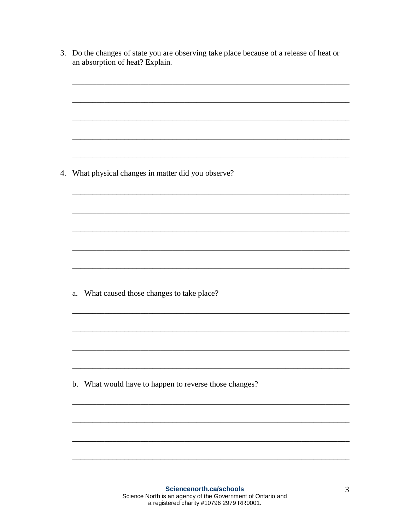| an absorption of heat? Explain.                        |
|--------------------------------------------------------|
|                                                        |
|                                                        |
|                                                        |
|                                                        |
|                                                        |
|                                                        |
|                                                        |
| 4. What physical changes in matter did you observe?    |
|                                                        |
|                                                        |
|                                                        |
|                                                        |
|                                                        |
|                                                        |
|                                                        |
|                                                        |
|                                                        |
| What caused those changes to take place?<br>a.         |
|                                                        |
|                                                        |
|                                                        |
|                                                        |
|                                                        |
|                                                        |
| b. What would have to happen to reverse those changes? |
|                                                        |
|                                                        |
|                                                        |
|                                                        |
|                                                        |